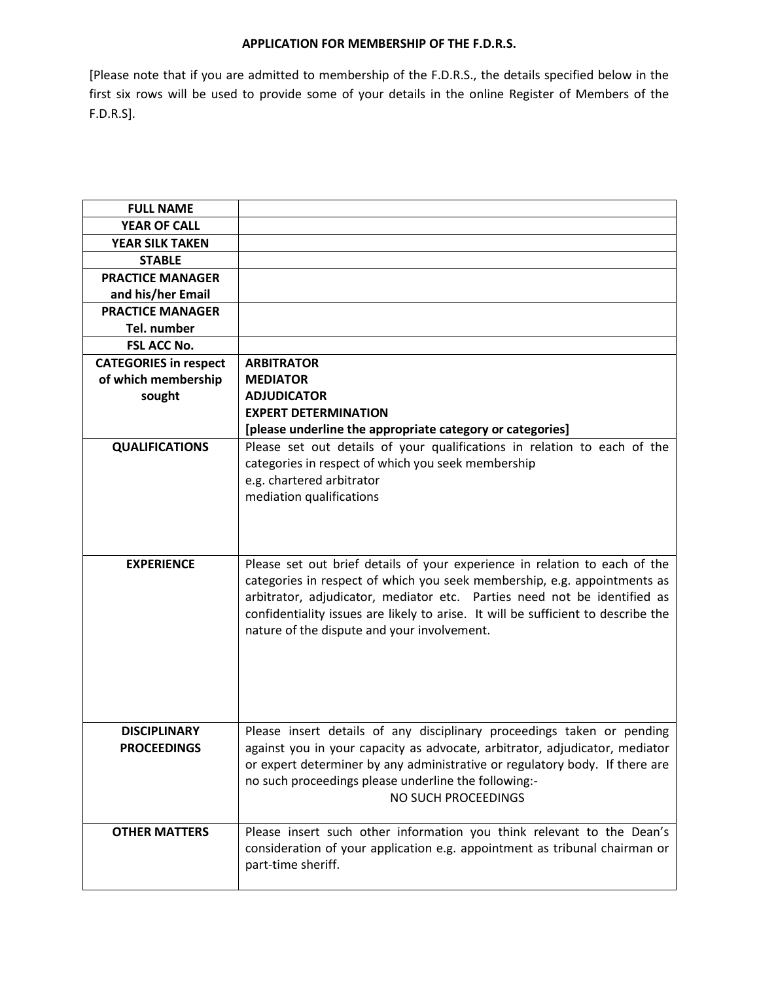## **APPLICATION FOR MEMBERSHIP OF THE F.D.R.S.**

[Please note that if you are admitted to membership of the F.D.R.S., the details specified below in the first six rows will be used to provide some of your details in the online Register of Members of the F.D.R.S].

| <b>FULL NAME</b>             |                                                                                   |
|------------------------------|-----------------------------------------------------------------------------------|
| <b>YEAR OF CALL</b>          |                                                                                   |
| <b>YEAR SILK TAKEN</b>       |                                                                                   |
| <b>STABLE</b>                |                                                                                   |
| <b>PRACTICE MANAGER</b>      |                                                                                   |
| and his/her Email            |                                                                                   |
| <b>PRACTICE MANAGER</b>      |                                                                                   |
| Tel. number                  |                                                                                   |
| <b>FSL ACC No.</b>           |                                                                                   |
| <b>CATEGORIES in respect</b> | <b>ARBITRATOR</b>                                                                 |
| of which membership          | <b>MEDIATOR</b>                                                                   |
| sought                       | <b>ADJUDICATOR</b>                                                                |
|                              | <b>EXPERT DETERMINATION</b>                                                       |
|                              | [please underline the appropriate category or categories]                         |
| <b>QUALIFICATIONS</b>        | Please set out details of your qualifications in relation to each of the          |
|                              | categories in respect of which you seek membership                                |
|                              | e.g. chartered arbitrator                                                         |
|                              | mediation qualifications                                                          |
|                              |                                                                                   |
|                              |                                                                                   |
| <b>EXPERIENCE</b>            | Please set out brief details of your experience in relation to each of the        |
|                              | categories in respect of which you seek membership, e.g. appointments as          |
|                              | arbitrator, adjudicator, mediator etc. Parties need not be identified as          |
|                              | confidentiality issues are likely to arise. It will be sufficient to describe the |
|                              | nature of the dispute and your involvement.                                       |
|                              |                                                                                   |
|                              |                                                                                   |
|                              |                                                                                   |
|                              |                                                                                   |
|                              |                                                                                   |
| <b>DISCIPLINARY</b>          | Please insert details of any disciplinary proceedings taken or pending            |
| <b>PROCEEDINGS</b>           | against you in your capacity as advocate, arbitrator, adjudicator, mediator       |
|                              | or expert determiner by any administrative or regulatory body. If there are       |
|                              | no such proceedings please underline the following:-<br>NO SUCH PROCEEDINGS       |
|                              |                                                                                   |
| <b>OTHER MATTERS</b>         | Please insert such other information you think relevant to the Dean's             |
|                              | consideration of your application e.g. appointment as tribunal chairman or        |
|                              | part-time sheriff.                                                                |
|                              |                                                                                   |